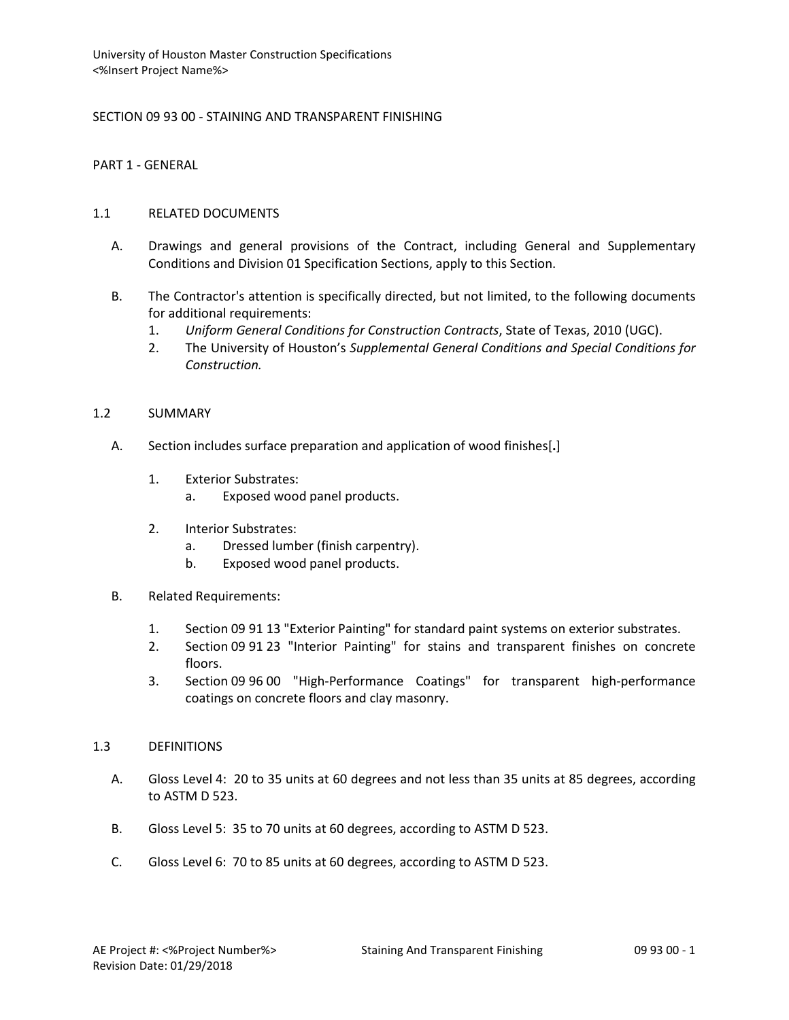SECTION 09 93 00 - STAINING AND TRANSPARENT FINISHING

PART 1 - GENERAL

### 1.1 RELATED DOCUMENTS

- A. Drawings and general provisions of the Contract, including General and Supplementary Conditions and Division 01 Specification Sections, apply to this Section.
- B. The Contractor's attention is specifically directed, but not limited, to the following documents for additional requirements:
	- 1. *Uniform General Conditions for Construction Contracts*, State of Texas, 2010 (UGC).
	- 2. The University of Houston's *Supplemental General Conditions and Special Conditions for Construction.*

### 1.2 SUMMARY

- A. Section includes surface preparation and application of wood finishes[**.**]
	- 1. Exterior Substrates:
		- a. Exposed wood panel products.
	- 2. Interior Substrates:
		- a. Dressed lumber (finish carpentry).
		- b. Exposed wood panel products.
- B. Related Requirements:
	- 1. Section 09 91 13 "Exterior Painting" for standard paint systems on exterior substrates.
	- 2. Section 09 91 23 "Interior Painting" for stains and transparent finishes on concrete floors.
	- 3. Section 09 96 00 "High-Performance Coatings" for transparent high-performance coatings on concrete floors and clay masonry.

## 1.3 DEFINITIONS

- A. Gloss Level 4: 20 to 35 units at 60 degrees and not less than 35 units at 85 degrees, according to ASTM D 523.
- B. Gloss Level 5: 35 to 70 units at 60 degrees, according to ASTM D 523.
- C. Gloss Level 6: 70 to 85 units at 60 degrees, according to ASTM D 523.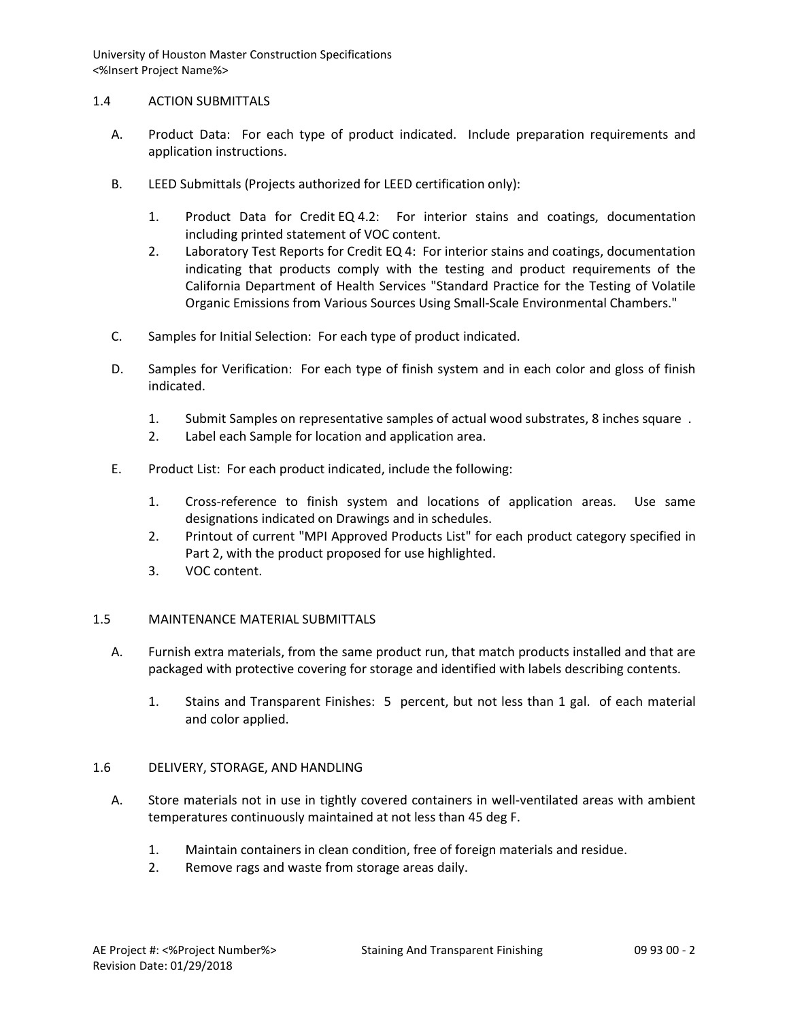## 1.4 ACTION SUBMITTALS

- A. Product Data: For each type of product indicated. Include preparation requirements and application instructions.
- B. LEED Submittals (Projects authorized for LEED certification only):
	- 1. Product Data for Credit EQ 4.2: For interior stains and coatings, documentation including printed statement of VOC content.
	- 2. Laboratory Test Reports for Credit EQ 4: For interior stains and coatings, documentation indicating that products comply with the testing and product requirements of the California Department of Health Services "Standard Practice for the Testing of Volatile Organic Emissions from Various Sources Using Small-Scale Environmental Chambers."
- C. Samples for Initial Selection: For each type of product indicated.
- D. Samples for Verification: For each type of finish system and in each color and gloss of finish indicated.
	- 1. Submit Samples on representative samples of actual wood substrates, 8 inches square .
	- 2. Label each Sample for location and application area.
- E. Product List: For each product indicated, include the following:
	- 1. Cross-reference to finish system and locations of application areas. Use same designations indicated on Drawings and in schedules.
	- 2. Printout of current "MPI Approved Products List" for each product category specified in Part 2, with the product proposed for use highlighted.
	- 3. VOC content.

# 1.5 MAINTENANCE MATERIAL SUBMITTALS

- A. Furnish extra materials, from the same product run, that match products installed and that are packaged with protective covering for storage and identified with labels describing contents.
	- 1. Stains and Transparent Finishes: 5 percent, but not less than 1 gal. of each material and color applied.

# 1.6 DELIVERY, STORAGE, AND HANDLING

- A. Store materials not in use in tightly covered containers in well-ventilated areas with ambient temperatures continuously maintained at not less than 45 deg F.
	- 1. Maintain containers in clean condition, free of foreign materials and residue.
	- 2. Remove rags and waste from storage areas daily.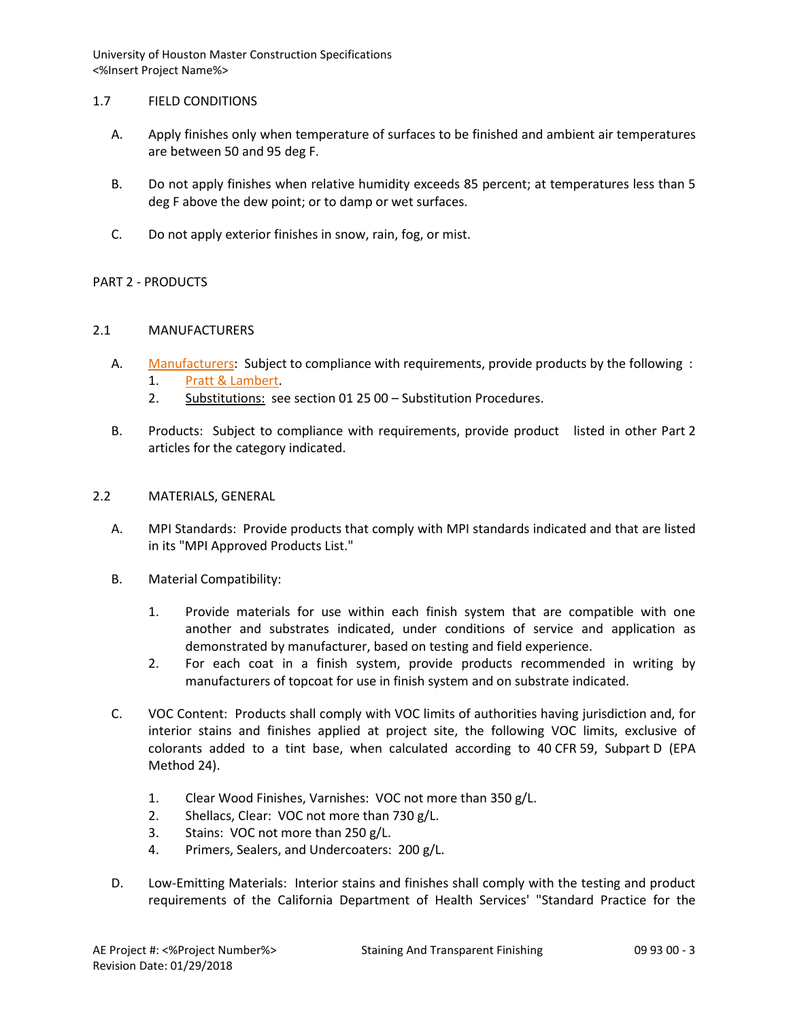## 1.7 FIELD CONDITIONS

- A. Apply finishes only when temperature of surfaces to be finished and ambient air temperatures are between 50 and 95 deg F.
- B. Do not apply finishes when relative humidity exceeds 85 percent; at temperatures less than 5 deg F above the dew point; or to damp or wet surfaces.
- C. Do not apply exterior finishes in snow, rain, fog, or mist.

# PART 2 - PRODUCTS

## 2.1 MANUFACTURERS

- A. [Manufacturers:](http://www.specagent.com/LookUp/?ulid=545&mf=04&src=wd) Subject to compliance with requirements, provide products by the following :
	- 1. [Pratt & Lambert.](http://www.specagent.com/LookUp/?uid=123456790969&mf=04&src=wd)
	- 2. Substitutions: see section 01 25 00 Substitution Procedures.
- B. Products: Subject to compliance with requirements, provide product listed in other Part 2 articles for the category indicated.

## 2.2 MATERIALS, GENERAL

- A. MPI Standards: Provide products that comply with MPI standards indicated and that are listed in its "MPI Approved Products List."
- B. Material Compatibility:
	- 1. Provide materials for use within each finish system that are compatible with one another and substrates indicated, under conditions of service and application as demonstrated by manufacturer, based on testing and field experience.
	- 2. For each coat in a finish system, provide products recommended in writing by manufacturers of topcoat for use in finish system and on substrate indicated.
- C. VOC Content: Products shall comply with VOC limits of authorities having jurisdiction and, for interior stains and finishes applied at project site, the following VOC limits, exclusive of colorants added to a tint base, when calculated according to 40 CFR 59, Subpart D (EPA Method 24).
	- 1. Clear Wood Finishes, Varnishes: VOC not more than 350 g/L.
	- 2. Shellacs, Clear: VOC not more than 730 g/L.
	- 3. Stains: VOC not more than 250 g/L.
	- 4. Primers, Sealers, and Undercoaters: 200 g/L.
- D. Low-Emitting Materials: Interior stains and finishes shall comply with the testing and product requirements of the California Department of Health Services' "Standard Practice for the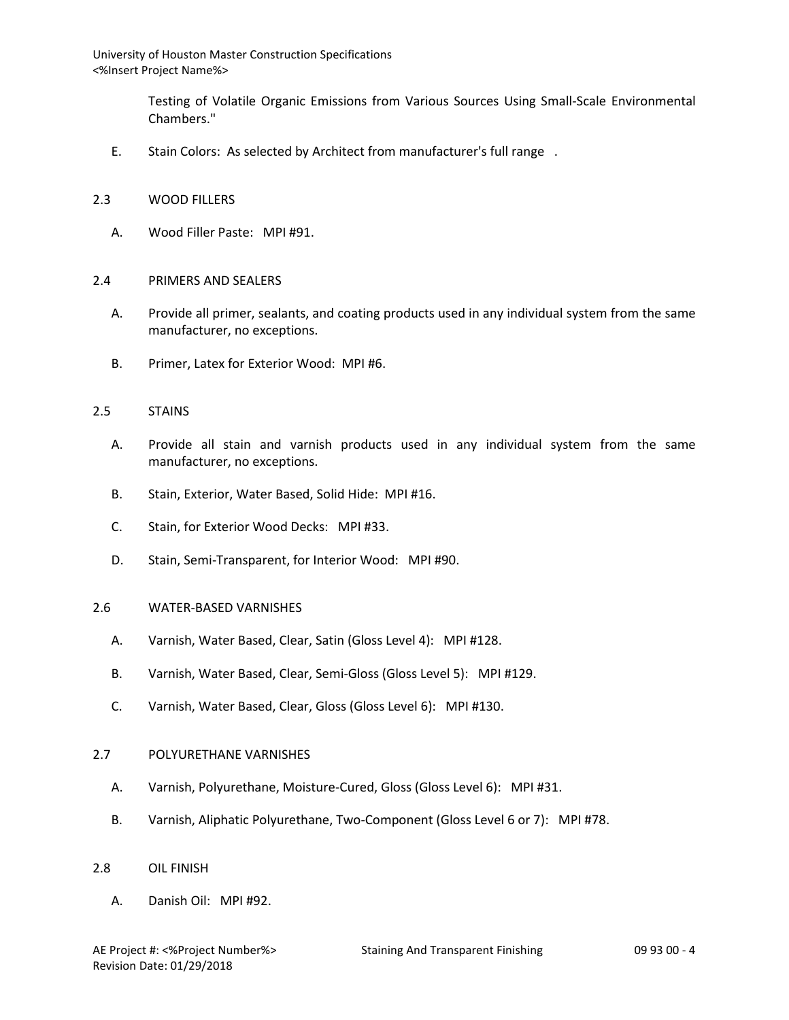> Testing of Volatile Organic Emissions from Various Sources Using Small-Scale Environmental Chambers."

E. Stain Colors: As selected by Architect from manufacturer's full range .

#### 2.3 WOOD FILLERS

A. Wood Filler Paste: MPI #91.

### 2.4 PRIMERS AND SEALERS

- A. Provide all primer, sealants, and coating products used in any individual system from the same manufacturer, no exceptions.
- B. Primer, Latex for Exterior Wood: MPI #6.

#### 2.5 STAINS

- A. Provide all stain and varnish products used in any individual system from the same manufacturer, no exceptions.
- B. Stain, Exterior, Water Based, Solid Hide: MPI #16.
- C. Stain, for Exterior Wood Decks: MPI #33.
- D. Stain, Semi-Transparent, for Interior Wood: MPI #90.

#### 2.6 WATER-BASED VARNISHES

- A. Varnish, Water Based, Clear, Satin (Gloss Level 4): MPI #128.
- B. Varnish, Water Based, Clear, Semi-Gloss (Gloss Level 5): MPI #129.
- C. Varnish, Water Based, Clear, Gloss (Gloss Level 6): MPI #130.

#### 2.7 POLYURETHANE VARNISHES

- A. Varnish, Polyurethane, Moisture-Cured, Gloss (Gloss Level 6): MPI #31.
- B. Varnish, Aliphatic Polyurethane, Two-Component (Gloss Level 6 or 7): MPI #78.
- 2.8 OIL FINISH
	- A. Danish Oil: MPI #92.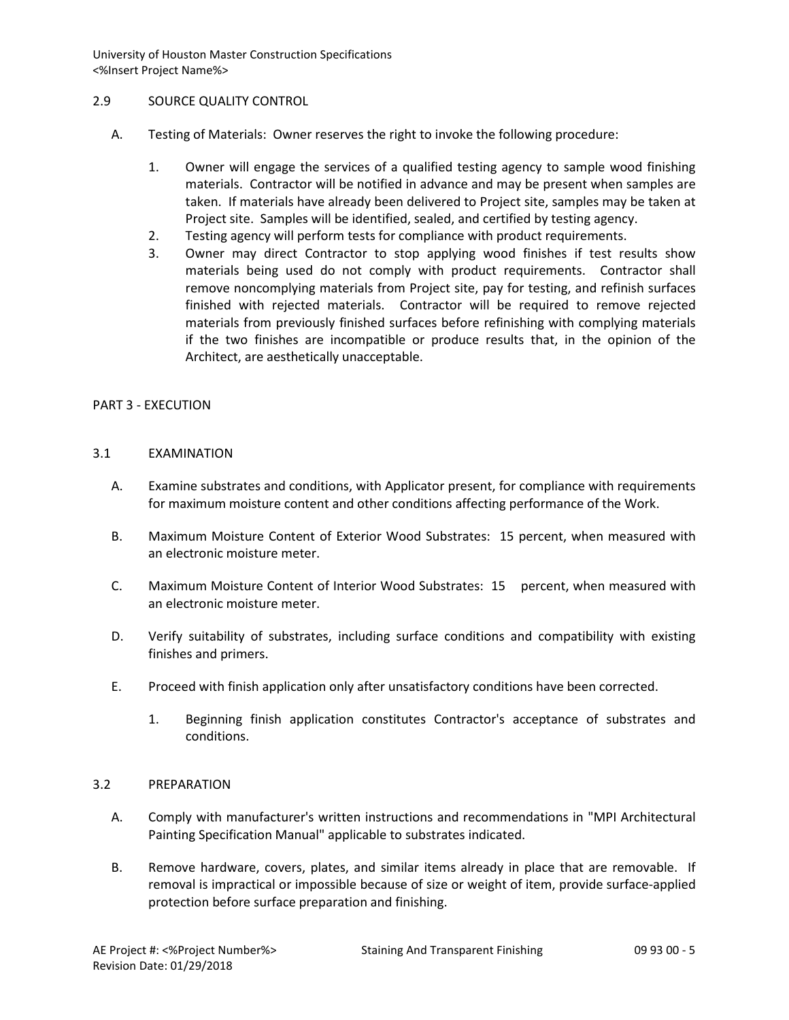## 2.9 SOURCE QUALITY CONTROL

- A. Testing of Materials: Owner reserves the right to invoke the following procedure:
	- 1. Owner will engage the services of a qualified testing agency to sample wood finishing materials. Contractor will be notified in advance and may be present when samples are taken. If materials have already been delivered to Project site, samples may be taken at Project site. Samples will be identified, sealed, and certified by testing agency.
	- 2. Testing agency will perform tests for compliance with product requirements.
	- 3. Owner may direct Contractor to stop applying wood finishes if test results show materials being used do not comply with product requirements. Contractor shall remove noncomplying materials from Project site, pay for testing, and refinish surfaces finished with rejected materials. Contractor will be required to remove rejected materials from previously finished surfaces before refinishing with complying materials if the two finishes are incompatible or produce results that, in the opinion of the Architect, are aesthetically unacceptable.

## PART 3 - EXECUTION

## 3.1 EXAMINATION

- A. Examine substrates and conditions, with Applicator present, for compliance with requirements for maximum moisture content and other conditions affecting performance of the Work.
- B. Maximum Moisture Content of Exterior Wood Substrates: 15 percent, when measured with an electronic moisture meter.
- C. Maximum Moisture Content of Interior Wood Substrates: 15 percent, when measured with an electronic moisture meter.
- D. Verify suitability of substrates, including surface conditions and compatibility with existing finishes and primers.
- E. Proceed with finish application only after unsatisfactory conditions have been corrected.
	- 1. Beginning finish application constitutes Contractor's acceptance of substrates and conditions.

#### 3.2 PREPARATION

- A. Comply with manufacturer's written instructions and recommendations in "MPI Architectural Painting Specification Manual" applicable to substrates indicated.
- B. Remove hardware, covers, plates, and similar items already in place that are removable. If removal is impractical or impossible because of size or weight of item, provide surface-applied protection before surface preparation and finishing.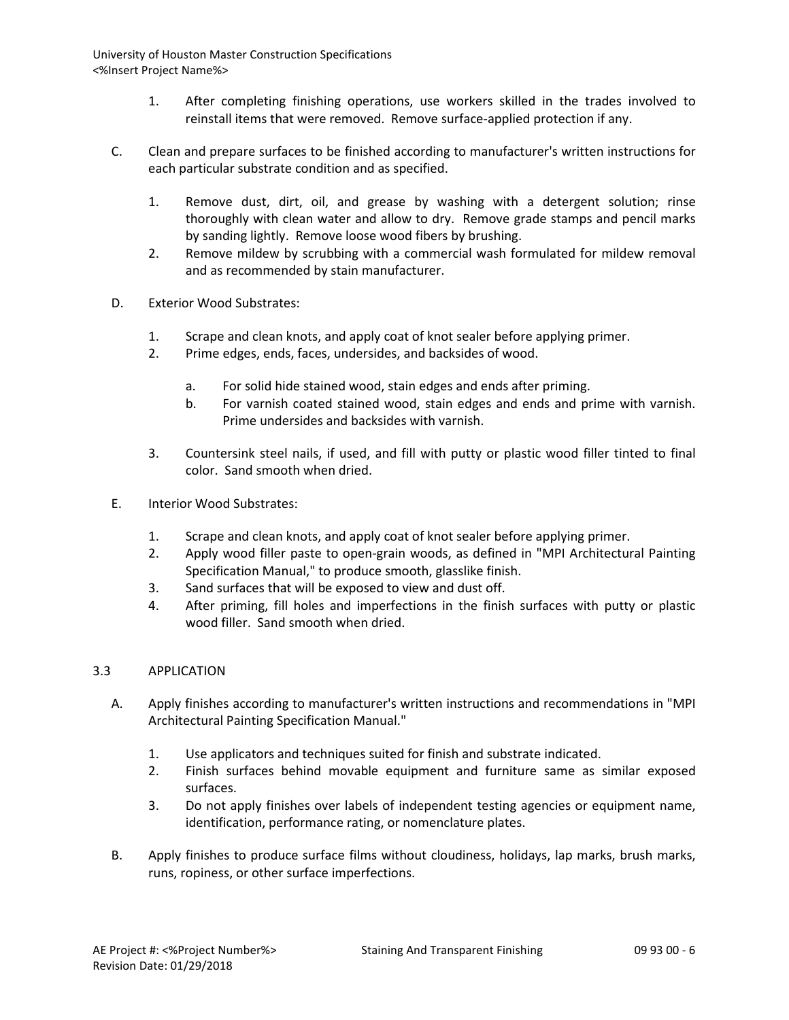- 1. After completing finishing operations, use workers skilled in the trades involved to reinstall items that were removed. Remove surface-applied protection if any.
- C. Clean and prepare surfaces to be finished according to manufacturer's written instructions for each particular substrate condition and as specified.
	- 1. Remove dust, dirt, oil, and grease by washing with a detergent solution; rinse thoroughly with clean water and allow to dry. Remove grade stamps and pencil marks by sanding lightly. Remove loose wood fibers by brushing.
	- 2. Remove mildew by scrubbing with a commercial wash formulated for mildew removal and as recommended by stain manufacturer.
- D. Exterior Wood Substrates:
	- 1. Scrape and clean knots, and apply coat of knot sealer before applying primer.
	- 2. Prime edges, ends, faces, undersides, and backsides of wood.
		- a. For solid hide stained wood, stain edges and ends after priming.
		- b. For varnish coated stained wood, stain edges and ends and prime with varnish. Prime undersides and backsides with varnish.
	- 3. Countersink steel nails, if used, and fill with putty or plastic wood filler tinted to final color. Sand smooth when dried.
- E. Interior Wood Substrates:
	- 1. Scrape and clean knots, and apply coat of knot sealer before applying primer.
	- 2. Apply wood filler paste to open-grain woods, as defined in "MPI Architectural Painting Specification Manual," to produce smooth, glasslike finish.
	- 3. Sand surfaces that will be exposed to view and dust off.
	- 4. After priming, fill holes and imperfections in the finish surfaces with putty or plastic wood filler. Sand smooth when dried.

# 3.3 APPLICATION

- A. Apply finishes according to manufacturer's written instructions and recommendations in "MPI Architectural Painting Specification Manual."
	- 1. Use applicators and techniques suited for finish and substrate indicated.
	- 2. Finish surfaces behind movable equipment and furniture same as similar exposed surfaces.
	- 3. Do not apply finishes over labels of independent testing agencies or equipment name, identification, performance rating, or nomenclature plates.
- B. Apply finishes to produce surface films without cloudiness, holidays, lap marks, brush marks, runs, ropiness, or other surface imperfections.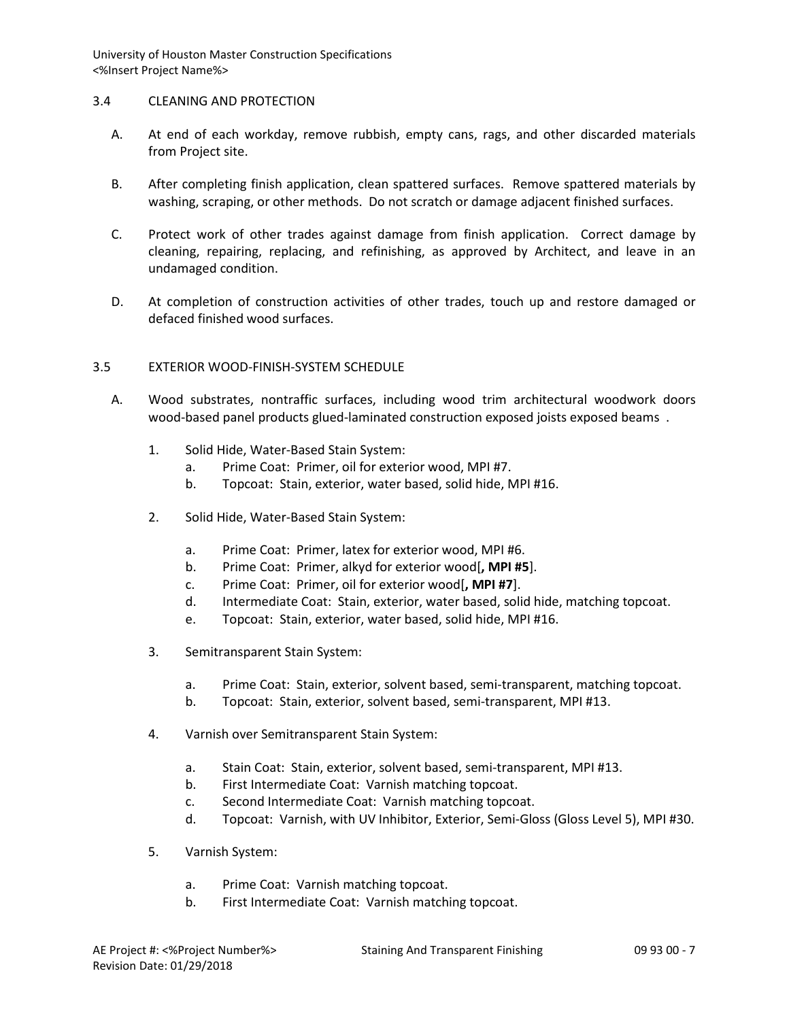## 3.4 CLEANING AND PROTECTION

- A. At end of each workday, remove rubbish, empty cans, rags, and other discarded materials from Project site.
- B. After completing finish application, clean spattered surfaces. Remove spattered materials by washing, scraping, or other methods. Do not scratch or damage adjacent finished surfaces.
- C. Protect work of other trades against damage from finish application. Correct damage by cleaning, repairing, replacing, and refinishing, as approved by Architect, and leave in an undamaged condition.
- D. At completion of construction activities of other trades, touch up and restore damaged or defaced finished wood surfaces.

## 3.5 EXTERIOR WOOD-FINISH-SYSTEM SCHEDULE

- A. Wood substrates, nontraffic surfaces, including wood trim architectural woodwork doors wood-based panel products glued-laminated construction exposed joists exposed beams .
	- 1. Solid Hide, Water-Based Stain System:
		- a. Prime Coat: Primer, oil for exterior wood, MPI #7.
		- b. Topcoat: Stain, exterior, water based, solid hide, MPI #16.
	- 2. Solid Hide, Water-Based Stain System:
		- a. Prime Coat: Primer, latex for exterior wood, MPI #6.
		- b. Prime Coat: Primer, alkyd for exterior wood[**, MPI #5**].
		- c. Prime Coat: Primer, oil for exterior wood[**, MPI #7**].
		- d. Intermediate Coat: Stain, exterior, water based, solid hide, matching topcoat.
		- e. Topcoat: Stain, exterior, water based, solid hide, MPI #16.
	- 3. Semitransparent Stain System:
		- a. Prime Coat: Stain, exterior, solvent based, semi-transparent, matching topcoat.
		- b. Topcoat: Stain, exterior, solvent based, semi-transparent, MPI #13.
	- 4. Varnish over Semitransparent Stain System:
		- a. Stain Coat: Stain, exterior, solvent based, semi-transparent, MPI #13.
		- b. First Intermediate Coat: Varnish matching topcoat.
		- c. Second Intermediate Coat: Varnish matching topcoat.
		- d. Topcoat: Varnish, with UV Inhibitor, Exterior, Semi-Gloss (Gloss Level 5), MPI #30.
	- 5. Varnish System:
		- a. Prime Coat: Varnish matching topcoat.
		- b. First Intermediate Coat: Varnish matching topcoat.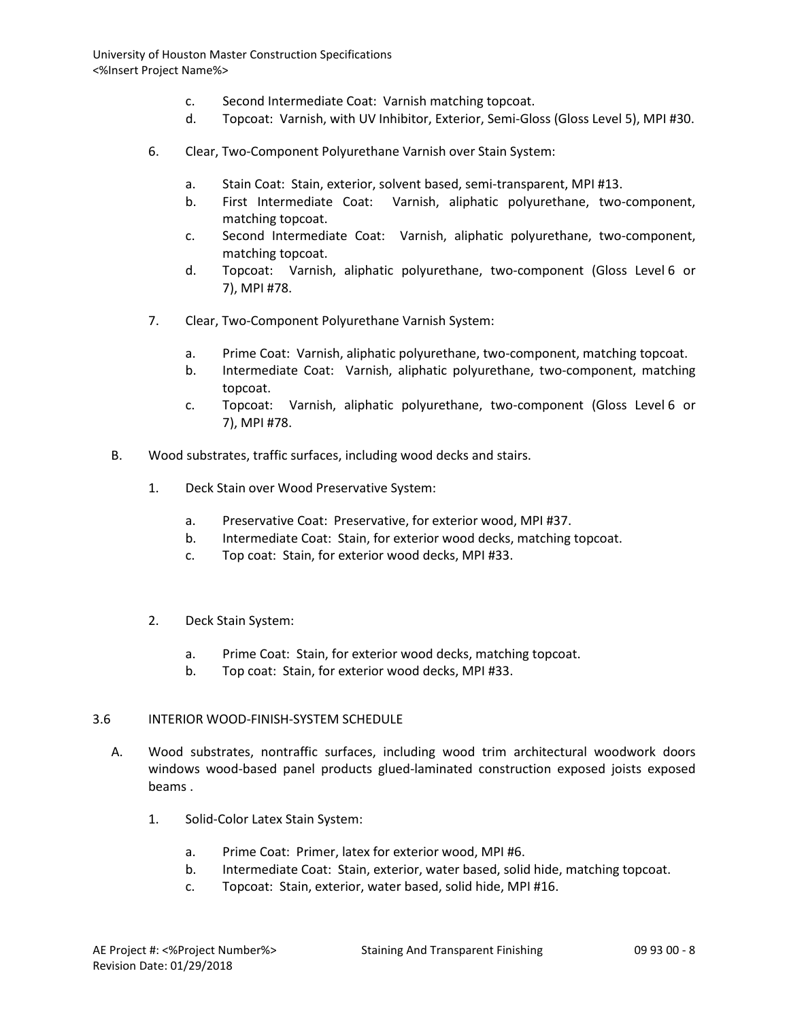- c. Second Intermediate Coat: Varnish matching topcoat.
- d. Topcoat: Varnish, with UV Inhibitor, Exterior, Semi-Gloss (Gloss Level 5), MPI #30.
- 6. Clear, Two-Component Polyurethane Varnish over Stain System:
	- a. Stain Coat: Stain, exterior, solvent based, semi-transparent, MPI #13.
	- b. First Intermediate Coat: Varnish, aliphatic polyurethane, two-component, matching topcoat.
	- c. Second Intermediate Coat: Varnish, aliphatic polyurethane, two-component, matching topcoat.
	- d. Topcoat: Varnish, aliphatic polyurethane, two-component (Gloss Level 6 or 7), MPI #78.
- 7. Clear, Two-Component Polyurethane Varnish System:
	- a. Prime Coat: Varnish, aliphatic polyurethane, two-component, matching topcoat.
	- b. Intermediate Coat: Varnish, aliphatic polyurethane, two-component, matching topcoat.
	- c. Topcoat: Varnish, aliphatic polyurethane, two-component (Gloss Level 6 or 7), MPI #78.
- B. Wood substrates, traffic surfaces, including wood decks and stairs.
	- 1. Deck Stain over Wood Preservative System:
		- a. Preservative Coat: Preservative, for exterior wood, MPI #37.
		- b. Intermediate Coat: Stain, for exterior wood decks, matching topcoat.
		- c. Top coat: Stain, for exterior wood decks, MPI #33.
	- 2. Deck Stain System:
		- a. Prime Coat: Stain, for exterior wood decks, matching topcoat.
		- b. Top coat: Stain, for exterior wood decks, MPI #33.

#### 3.6 INTERIOR WOOD-FINISH-SYSTEM SCHEDULE

- A. Wood substrates, nontraffic surfaces, including wood trim architectural woodwork doors windows wood-based panel products glued-laminated construction exposed joists exposed beams .
	- 1. Solid-Color Latex Stain System:
		- a. Prime Coat: Primer, latex for exterior wood, MPI #6.
		- b. Intermediate Coat: Stain, exterior, water based, solid hide, matching topcoat.
		- c. Topcoat: Stain, exterior, water based, solid hide, MPI #16.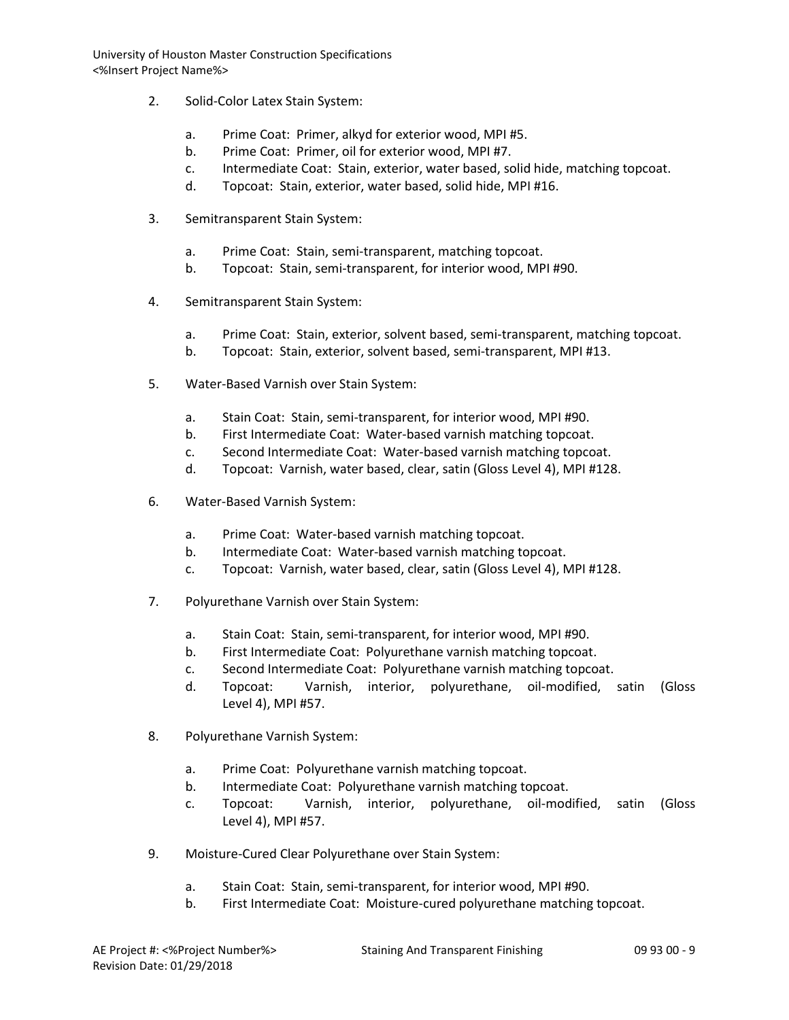- 2. Solid-Color Latex Stain System:
	- a. Prime Coat: Primer, alkyd for exterior wood, MPI #5.
	- b. Prime Coat: Primer, oil for exterior wood, MPI #7.
	- c. Intermediate Coat: Stain, exterior, water based, solid hide, matching topcoat.
	- d. Topcoat: Stain, exterior, water based, solid hide, MPI #16.
- 3. Semitransparent Stain System:
	- a. Prime Coat: Stain, semi-transparent, matching topcoat.
	- b. Topcoat: Stain, semi-transparent, for interior wood, MPI #90.
- 4. Semitransparent Stain System:
	- a. Prime Coat: Stain, exterior, solvent based, semi-transparent, matching topcoat.
	- b. Topcoat: Stain, exterior, solvent based, semi-transparent, MPI #13.
- 5. Water-Based Varnish over Stain System:
	- a. Stain Coat: Stain, semi-transparent, for interior wood, MPI #90.
	- b. First Intermediate Coat: Water-based varnish matching topcoat.
	- c. Second Intermediate Coat: Water-based varnish matching topcoat.
	- d. Topcoat: Varnish, water based, clear, satin (Gloss Level 4), MPI #128.
- 6. Water-Based Varnish System:
	- a. Prime Coat: Water-based varnish matching topcoat.
	- b. Intermediate Coat: Water-based varnish matching topcoat.
	- c. Topcoat: Varnish, water based, clear, satin (Gloss Level 4), MPI #128.
- 7. Polyurethane Varnish over Stain System:
	- a. Stain Coat: Stain, semi-transparent, for interior wood, MPI #90.
	- b. First Intermediate Coat: Polyurethane varnish matching topcoat.
	- c. Second Intermediate Coat: Polyurethane varnish matching topcoat.
	- d. Topcoat: Varnish, interior, polyurethane, oil-modified, satin (Gloss Level 4), MPI #57.
- 8. Polyurethane Varnish System:
	- a. Prime Coat: Polyurethane varnish matching topcoat.
	- b. Intermediate Coat: Polyurethane varnish matching topcoat.
	- c. Topcoat: Varnish, interior, polyurethane, oil-modified, satin (Gloss Level 4), MPI #57.
- 9. Moisture-Cured Clear Polyurethane over Stain System:
	- a. Stain Coat: Stain, semi-transparent, for interior wood, MPI #90.
	- b. First Intermediate Coat: Moisture-cured polyurethane matching topcoat.